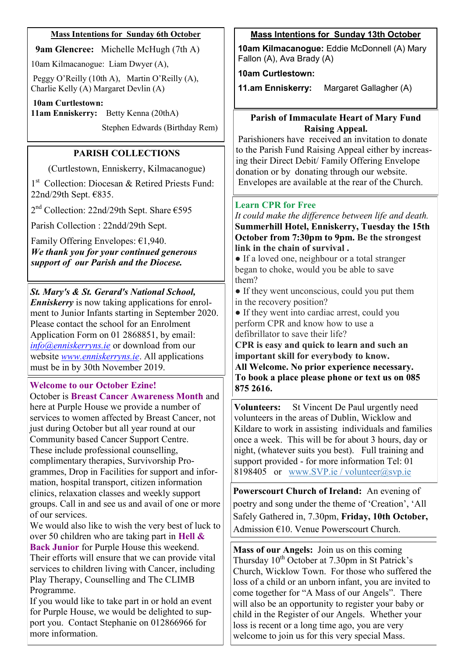### **Mass Intentions for Sunday 6th October**

**9am Glencree:** Michelle McHugh (7th A)

10am Kilmacanogue: Liam Dwyer (A),

Peggy O'Reilly (10th A), Martin O'Reilly (A), Charlie Kelly (A) Margaret Devlin (A)

**10am Curtlestown:** 

**11am Enniskerry:** Betty Kenna (20thA)

Stephen Edwards (Birthday Rem)

# **PARISH COLLECTIONS**

(Curtlestown, Enniskerry, Kilmacanogue)

1<sup>st</sup> Collection: Diocesan & Retired Priests Fund: 22nd/29th Sept. €835.

2 nd Collection: 22nd/29th Sept. Share €595

Parish Collection : 22ndd/29th Sept.

Family Offering Envelopes: €1,940. *We thank you for your continued generous support of our Parish and the Diocese.*

*St. Mary's & St. Gerard's National School, Enniskerry* is now taking applications for enrolment to Junior Infants starting in September 2020. Please contact the school for an Enrolment Application Form on 01 2868851, by email: *[info@enniskerryns.ie](mailto:info@enniskerryns.ie)* or download from our website *[www.enniskerryns.ie](http://www.enniskerryns.ie)*. All applications must be in by 30th November 2019.

## **Welcome to our October Ezine!**

October is **Breast Cancer Awareness Month** and here at Purple House we provide a number of services to women affected by Breast Cancer, not just during October but all year round at our Community based Cancer Support Centre. These include professional counselling, complimentary therapies, Survivorship Programmes, Drop in Facilities for support and information, hospital transport, citizen information clinics, relaxation classes and weekly support groups. Call in and see us and avail of one or more of our services.

We would also like to wish the very best of luck to over 50 children who are taking part in **Hell & Back Junior** for Purple House this weekend. Their efforts will ensure that we can provide vital services to children living with Cancer, including Play Therapy, Counselling and The CLIMB Programme.

If you would like to take part in or hold an event for Purple House, we would be delighted to support you. Contact Stephanie on 012866966 for more information.

# **Mass Intentions for Sunday 13th October**

**10am Kilmacanogue:** Eddie McDonnell (A) Mary Fallon (A), Ava Brady (A)

### **10am Curtlestown:**

**11.am Enniskerry:** Margaret Gallagher (A)

### **Parish of Immaculate Heart of Mary Fund Raising Appeal.**

Parishioners have received an invitation to donate to the Parish Fund Raising Appeal either by increasing their Direct Debit/ Family Offering Envelope donation or by donating through our website. Envelopes are available at the rear of the Church.

## **Learn CPR for Free**

*It could make the difference between life and death.* **Summerhill Hotel, Enniskerry, Tuesday the 15th October from 7:30pm to 9pm. Be the strongest link in the chain of survival .**

• If a loved one, neighbour or a total stranger began to choke, would you be able to save them?

● If they went unconscious, could you put them in the recovery position?

• If they went into cardiac arrest, could you perform CPR and know how to use a defibrillator to save their life?

**CPR is easy and quick to learn and such an important skill for everybody to know. All Welcome. No prior experience necessary. To book a place please phone or text us on 085 875 2616.**

**Volunteers:** St Vincent De Paul urgently need volunteers in the areas of Dublin, Wicklow and Kildare to work in assisting individuals and families once a week. This will be for about 3 hours, day or night, (whatever suits you best). Full training and support provided - for more information Tel: 01 8198405 or [www.SVP.ie](https://l.facebook.com/l.php?u=http%3A%2F%2Fwww.SVP.ie%2F%3Ffbclid%3DIwAR2AzebNQjJ_KP-Z9FVukFyujB8nXzqOljiMH04fx4pStgAvGc-iDlBE-m0&h=AT3Ug_llf3KAOdYKaxT5ndYQVkXXvJgfgIVJAIvJzn8o3o_87eUDGtXEtybdqt6AQpaKjbaW8Vniy6OtER9Vp8Ts2NoEQ6ZXexRpywJzqhu-AFAjaig6vNusf6FroS) / [volunteer@svp.ie](mailto:volunteer@svp.ie)

**Powerscourt Church of Ireland:** An evening of poetry and song under the theme of 'Creation', 'All Safely Gathered in, 7.30pm, **Friday, 10th October,**  Admission €10. Venue Powerscourt Church.

**Mass of our Angels:** Join us on this coming Thursday  $10^{th}$  October at 7.30pm in St Patrick's Church, Wicklow Town. For those who suffered the loss of a child or an unborn infant, you are invited to come together for "A Mass of our Angels". There will also be an opportunity to register your baby or child in the Register of our Angels. Whether your loss is recent or a long time ago, you are very welcome to join us for this very special Mass.